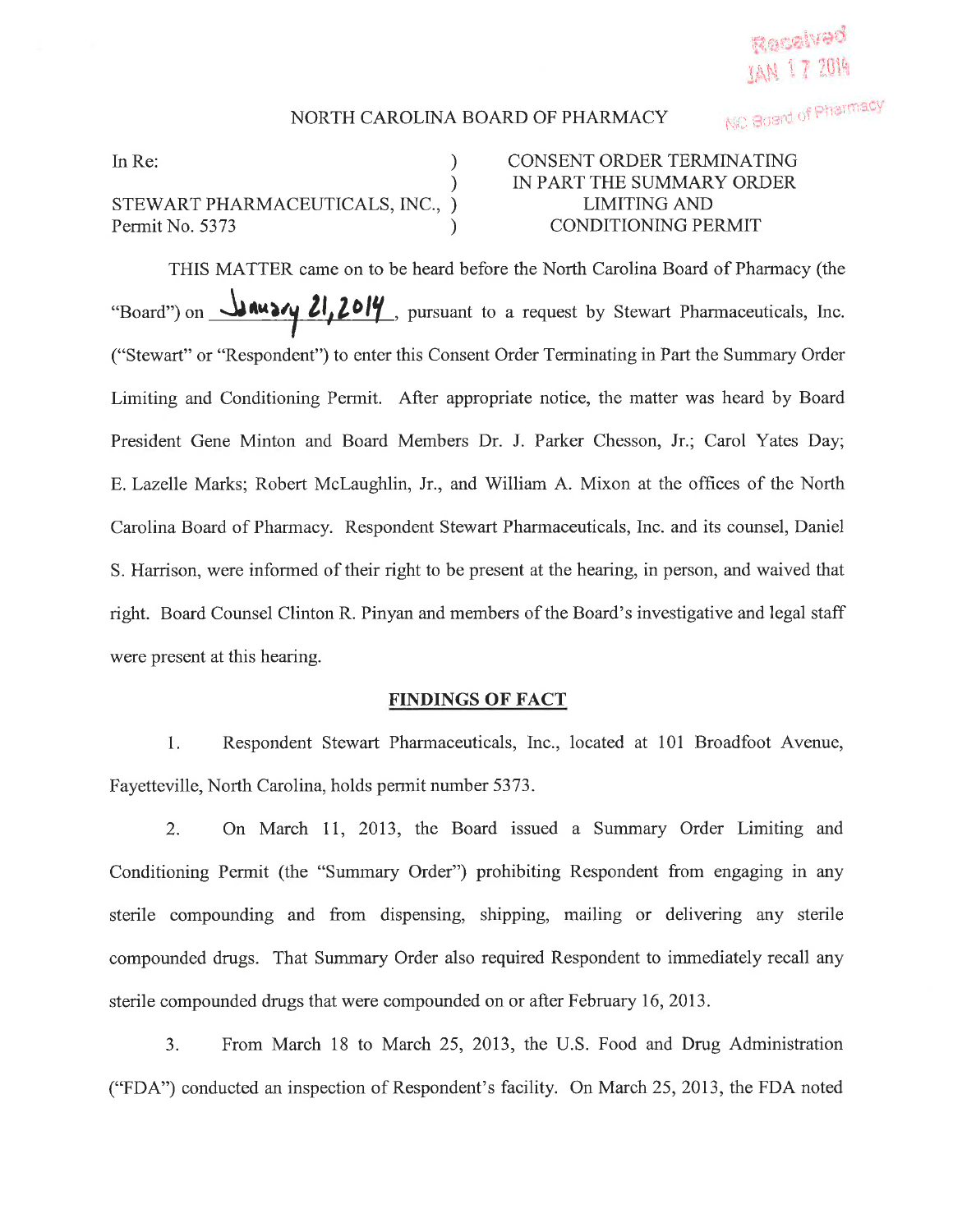## NORTH CAROLINA BOARD OF PHARMACY

) ) ) )

STEWART PHARMACEUTICALS, INC., Permit No. 5373

## In Re: (a) CONSENT ORDER TERMINATING IN PART THE SUMMARY ORDER LIMITING AND CONDITIONING PERMIT

THIS MATTER came on to be heard before the North Carolina Board of Pharmacy (the "Board") on **JAUSY 21, 2014**, pursuant to a request by Stewart Pharmaceuticals, Inc. ("Stewart" or "Respondent") to enter this Consent Order Terminating in Part the Summary Order Limiting and Conditioning Permit. After appropriate notice, the matter was heard by Board President Gene Minton and Board Members Dr. J. Parker Chesson, Jr.; Carol Yates Day; E.Lazelle Marks; Robert Mclaughlin, Jr., and William A. Mixon at the offices of the North Carolina Board of Pharmacy. Respondent Stewart Pharmaceuticals, Inc. and its counsel, Daniel S. Harrison, were informed of their right to be present at the hearing, in person, and waived that right. Board Counsel Clinton R. Pinyan and members of the Board's investigative and legal staff were present at this hearing.

## FINDINGS OF FACT

1. Respondent Stewart Pharmaceuticals, Inc., located at 101 Broadfoot Avenue, Fayetteville, North Carolina, holds permit number 5373.

2. On March 11, 2013, the Board issued a Summary Order Limiting and Conditioning Permit (the "Summary Order") prohibiting Respondent from engaging in any sterile compounding and from dispensing, shipping, mailing or delivering any sterile compounded drugs. That Summary Order also required Respondent to immediately recall any sterile compounded drugs that were compounded on or after February 16,2013.

3. From March 18 to March 25, 2013, the U.S. Food and Drug Administration ("FDA") conducted an inspection of Respondent's facility. On March 25,2013, the FDA noted

NC Board of Pharmacy

Received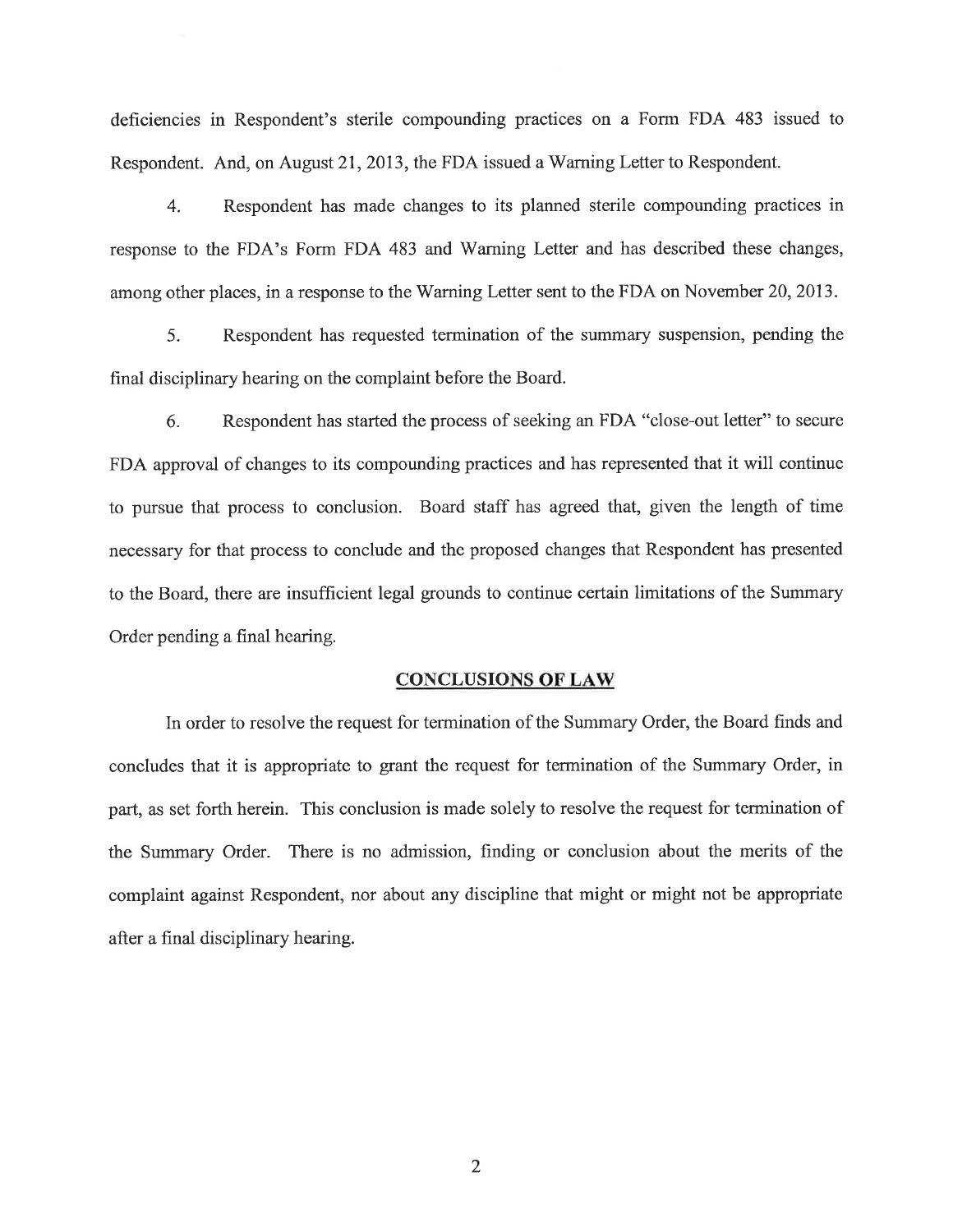deficiencies in Respondent's sterile compounding practices on a Form FDA 483 issued to Respondent. And, on August 21, 2013, the FDA issued a Warning Letter to Respondent.

4. Respondent has made changes to its planned sterile compounding practices in response to the FDA's Form FDA 483 and Warning Letter and has described these changes, among other places, in a response to the Warning Letter sent to the FDA on November 20,2013.

5. Respondent has requested termination of the sunmary suspension, pending the final disciplinary hearing on the complaint before the Board.

6. Respondent has started the process of seeking an FDA "close-out letter" to secure FDA approval of changes to its compounding practices and has represented that it will continue to pursue that process to conclusion. Board staff has agreed that, given the length of time necessary for that process to conclude and the proposed changes that Respondent has presented to the Board, there are insufficient legal grounds to continue certain limitations of the Summary Order pending a final hearing.

## **CONCLUSIONS OF LAW**

In order to resolve the request for termination of the Summary Order, the Board finds and concludes that it is appropriate to grant the request for termination of the Summary Order, in part, as set forth herein. This conclusion is made solely to resolve the request for termination of the Summary Order. There is no admission, finding or conclusion about the merits of the complaint against Respondent, nor about any discipline that might or might not be appropriate after a final disciplinary hearing.

2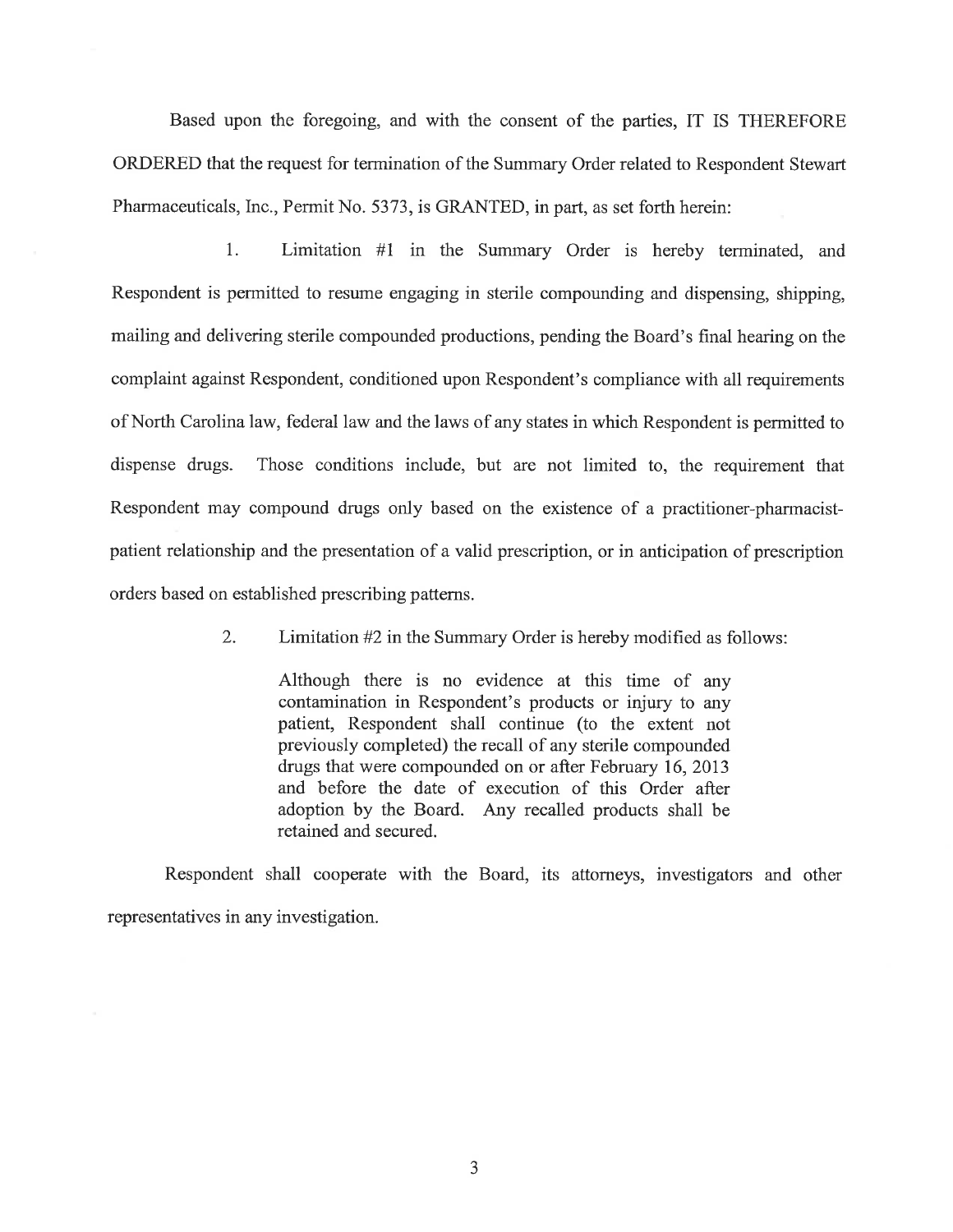Based upon the foregoing, and with the consent of the parties, IT IS THEREFORE ORDERED that the request for termination of the Summary Order related to Respondent Stewart Pharmaceuticals, Inc., Permit No. 5373, is GRANTED, in part, as set forth herein:

1. Limitation #l in the Summary Order is hereby terminated, and Respondent is permitted to resume engaging in sterile compounding and dispensing, shipping, mailing and delivering sterile compounded productions, pending the Board's final hearing on the complaint against Respondent, conditioned upon Respondent's compliance with all requirements of North Carolina law, federal law and the laws of any states in which Respondent is permitted to dispense drugs. Those conditions include, but are not limited to, the requirement that Respondent may compound drugs only based on the existence of a practitioner-pharmacistpatient relationship and the presentation of a valid prescription, or in anticipation of prescription orders based on established prescribing patterns.

2. Limitation #2 in the Summary Order is hereby modified as follows:

Although there is no evidence at this time of any contamination in Respondent's products or injury to any patient, Respondent shall continue (to the extent not previously completed) the recall of any sterile compounded drugs that were compounded on or after February 16,2013 and before the date of execution of this Order after adoption by the Board. Any recalled products shall be retained and secured.

Respondent shall cooperate with the Board, its attorneys, investigators and other representatives in any investigation.

J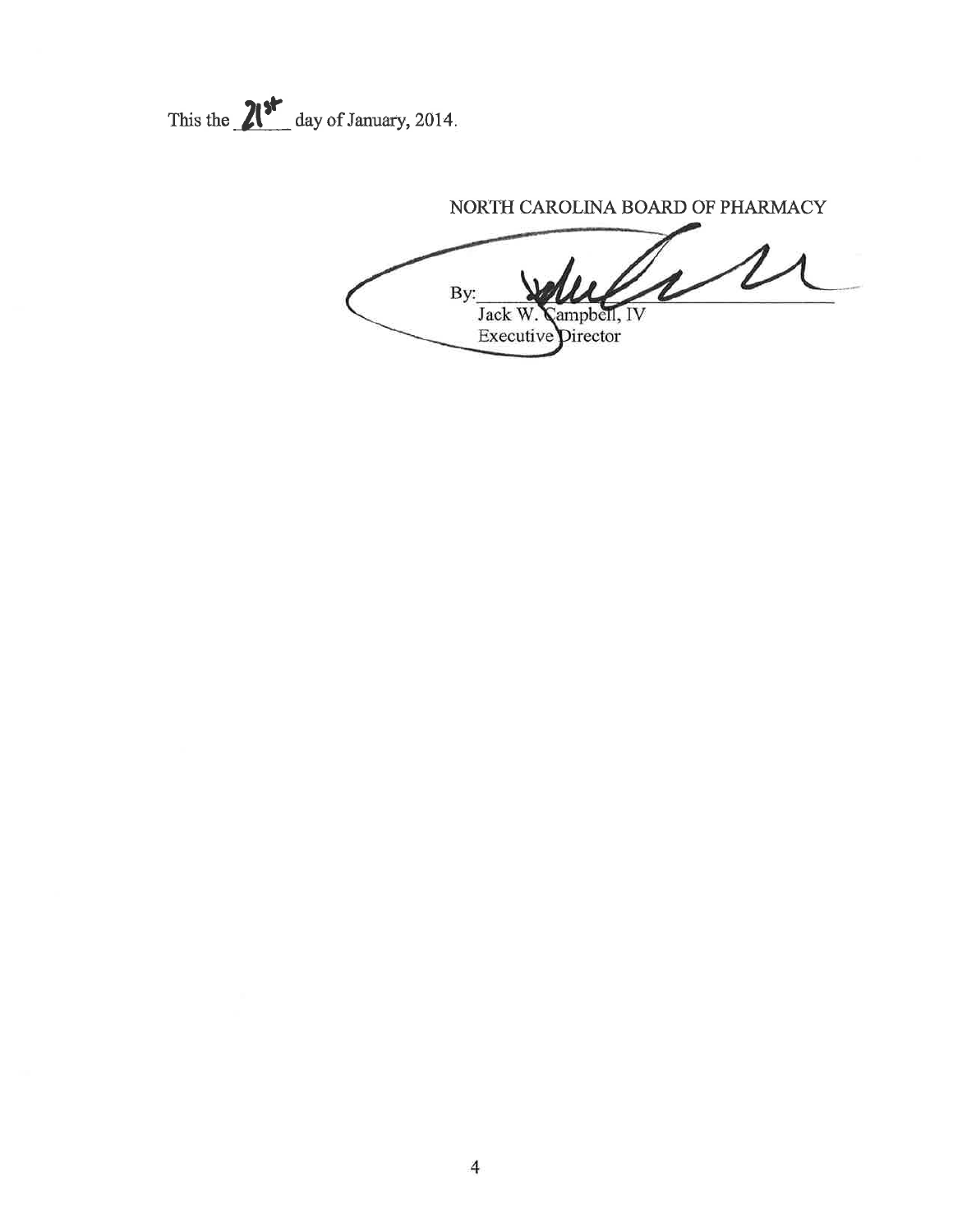This the  $21<sup>st</sup>$  day of January, 2014.

NORTH CAROLINA BOARD OF PHARMACY

By: Jack W. Campbell, IV